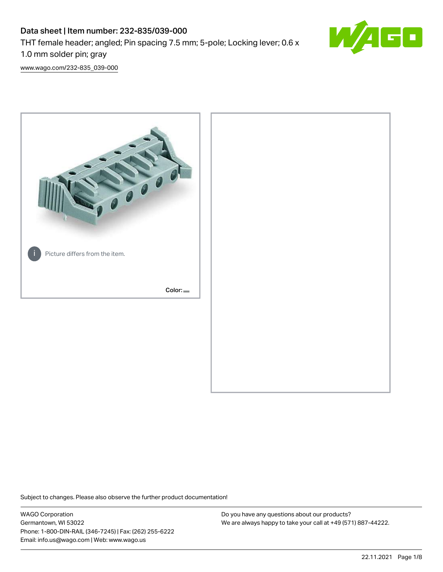# Data sheet | Item number: 232-835/039-000 THT female header; angled; Pin spacing 7.5 mm; 5-pole; Locking lever; 0.6 x 1.0 mm solder pin; gray



[www.wago.com/232-835\\_039-000](http://www.wago.com/232-835_039-000)



Subject to changes. Please also observe the further product documentation!

WAGO Corporation Germantown, WI 53022 Phone: 1-800-DIN-RAIL (346-7245) | Fax: (262) 255-6222 Email: info.us@wago.com | Web: www.wago.us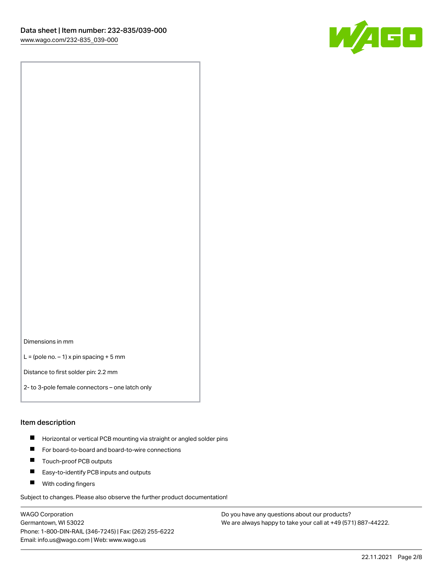

Dimensions in mm

 $L =$  (pole no.  $-1$ ) x pin spacing + 5 mm

Distance to first solder pin: 2.2 mm

2- to 3-pole female connectors – one latch only

#### Item description

- **Horizontal or vertical PCB mounting via straight or angled solder pins**
- For board-to-board and board-to-wire connections
- $\blacksquare$ Touch-proof PCB outputs
- $\blacksquare$ Easy-to-identify PCB inputs and outputs
- **Now With coding fingers**

Subject to changes. Please also observe the further product documentation!

WAGO Corporation Germantown, WI 53022 Phone: 1-800-DIN-RAIL (346-7245) | Fax: (262) 255-6222 Email: info.us@wago.com | Web: www.wago.us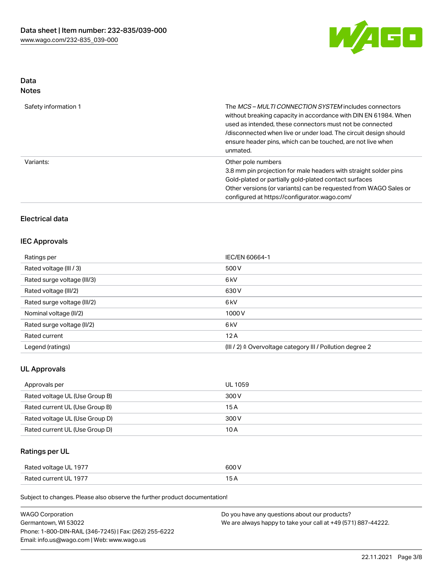

# Data

| Safety information 1 | The <i>MCS – MULTI CONNECTION SYSTEM</i> includes connectors<br>without breaking capacity in accordance with DIN EN 61984. When<br>used as intended, these connectors must not be connected<br>/disconnected when live or under load. The circuit design should<br>ensure header pins, which can be touched, are not live when<br>unmated. |
|----------------------|--------------------------------------------------------------------------------------------------------------------------------------------------------------------------------------------------------------------------------------------------------------------------------------------------------------------------------------------|
| Variants:            | Other pole numbers<br>3.8 mm pin projection for male headers with straight solder pins<br>Gold-plated or partially gold-plated contact surfaces<br>Other versions (or variants) can be requested from WAGO Sales or<br>configured at https://configurator.wago.com/                                                                        |

# Electrical data

## IEC Approvals

| Ratings per                 | IEC/EN 60664-1                                                       |  |
|-----------------------------|----------------------------------------------------------------------|--|
| Rated voltage (III / 3)     | 500 V                                                                |  |
| Rated surge voltage (III/3) | 6 <sub>k</sub> V                                                     |  |
| Rated voltage (III/2)       | 630 V                                                                |  |
| Rated surge voltage (III/2) | 6 <sub>k</sub> V                                                     |  |
| Nominal voltage (II/2)      | 1000V                                                                |  |
| Rated surge voltage (II/2)  | 6 <sub>k</sub> V                                                     |  |
| Rated current               | 12A                                                                  |  |
| Legend (ratings)            | (III / 2) $\triangleq$ Overvoltage category III / Pollution degree 2 |  |

## UL Approvals

| Approvals per                  | UL 1059 |
|--------------------------------|---------|
| Rated voltage UL (Use Group B) | 300 V   |
| Rated current UL (Use Group B) | 15 A    |
| Rated voltage UL (Use Group D) | 300 V   |
| Rated current UL (Use Group D) | 10 A    |

# Ratings per UL

| Rated voltage UL 1977 | 600 V |
|-----------------------|-------|
| Rated current UL 1977 |       |

Subject to changes. Please also observe the further product documentation!

| <b>WAGO Corporation</b>                                | Do you have any questions about our products?                 |
|--------------------------------------------------------|---------------------------------------------------------------|
| Germantown, WI 53022                                   | We are always happy to take your call at +49 (571) 887-44222. |
| Phone: 1-800-DIN-RAIL (346-7245)   Fax: (262) 255-6222 |                                                               |
| Email: info.us@wago.com   Web: www.wago.us             |                                                               |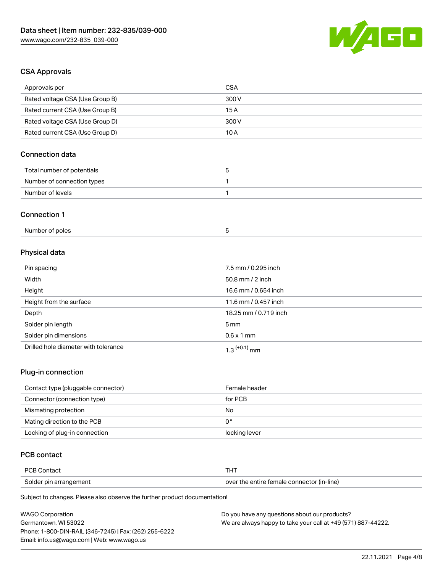

# CSA Approvals

| Approvals per                        | <b>CSA</b>            |
|--------------------------------------|-----------------------|
| Rated voltage CSA (Use Group B)      | 300V                  |
| Rated current CSA (Use Group B)      | 15A                   |
| Rated voltage CSA (Use Group D)      | 300V                  |
| Rated current CSA (Use Group D)      | 10A                   |
| <b>Connection data</b>               |                       |
| Total number of potentials           | 5                     |
| Number of connection types           | $\mathbf{1}$          |
| Number of levels                     | 1                     |
| <b>Connection 1</b>                  |                       |
| Number of poles                      | 5                     |
| Physical data                        |                       |
| Pin spacing                          | 7.5 mm / 0.295 inch   |
| Width                                | 50.8 mm / 2 inch      |
| Height                               | 16.6 mm / 0.654 inch  |
| Height from the surface              | 11.6 mm / 0.457 inch  |
| Depth                                | 18.25 mm / 0.719 inch |
| Solder pin length                    | 5 <sub>mm</sub>       |
| Solder pin dimensions                | $0.6 \times 1$ mm     |
| Drilled hole diameter with tolerance | $1.3$ $(+0.1)$ mm     |

## Plug-in connection

| Contact type (pluggable connector) | Female header |
|------------------------------------|---------------|
| Connector (connection type)        | for PCB       |
| Mismating protection               | No            |
| Mating direction to the PCB        | 0°            |
| Locking of plug-in connection      | locking lever |

# PCB contact

| <b>PCB Contact</b>     |                                            |  |
|------------------------|--------------------------------------------|--|
| Solder pin arrangement | over the entire female connector (in-line) |  |

Subject to changes. Please also observe the further product documentation!

| <b>WAGO Corporation</b>                                | Do you have any questions about our products?                 |
|--------------------------------------------------------|---------------------------------------------------------------|
| Germantown. WI 53022                                   | We are always happy to take your call at +49 (571) 887-44222. |
| Phone: 1-800-DIN-RAIL (346-7245)   Fax: (262) 255-6222 |                                                               |
| Email: info.us@wago.com   Web: www.wago.us             |                                                               |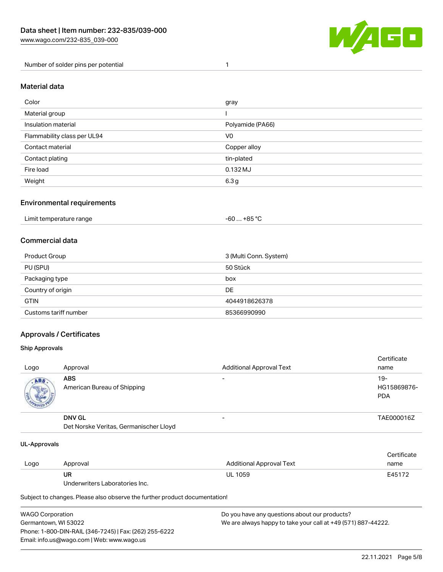

Number of solder pins per potential 1

#### Material data

| Color                       | gray             |
|-----------------------------|------------------|
| Material group              |                  |
| Insulation material         | Polyamide (PA66) |
| Flammability class per UL94 | V0               |
| Contact material            | Copper alloy     |
| Contact plating             | tin-plated       |
| Fire load                   | 0.132 MJ         |
| Weight                      | 6.3 <sub>g</sub> |

#### Environmental requirements

| Limit temperature range<br>. | . +85 °C<br>-60 |  |
|------------------------------|-----------------|--|
|------------------------------|-----------------|--|

## Commercial data

| Product Group         | 3 (Multi Conn. System) |
|-----------------------|------------------------|
| PU (SPU)              | 50 Stück               |
| Packaging type        | box                    |
| Country of origin     | DE                     |
| <b>GTIN</b>           | 4044918626378          |
| Customs tariff number | 85366990990            |

## Approvals / Certificates

#### Ship Approvals

| Logo | Approval                                                | <b>Additional Approval Text</b> | Certificate<br>name                |
|------|---------------------------------------------------------|---------------------------------|------------------------------------|
| ABS  | <b>ABS</b><br>American Bureau of Shipping               | -                               | $19-$<br>HG15869876-<br><b>PDA</b> |
|      | <b>DNV GL</b><br>Det Norske Veritas, Germanischer Lloyd | $\overline{\phantom{0}}$        | TAE000016Z                         |

#### UL-Approvals

| Logo | Approval                       | Additional Approval Text | Certificate<br>name |
|------|--------------------------------|--------------------------|---------------------|
|      | UR                             | <b>UL 1059</b>           | E45172              |
|      | Underwriters Laboratories Inc. |                          |                     |

Subject to changes. Please also observe the further product documentation!

| <b>WAGO Corporation</b>                                | Do you have any questions about our products?                 |
|--------------------------------------------------------|---------------------------------------------------------------|
| Germantown, WI 53022                                   | We are always happy to take your call at +49 (571) 887-44222. |
| Phone: 1-800-DIN-RAIL (346-7245)   Fax: (262) 255-6222 |                                                               |
| Email: info.us@wago.com   Web: www.wago.us             |                                                               |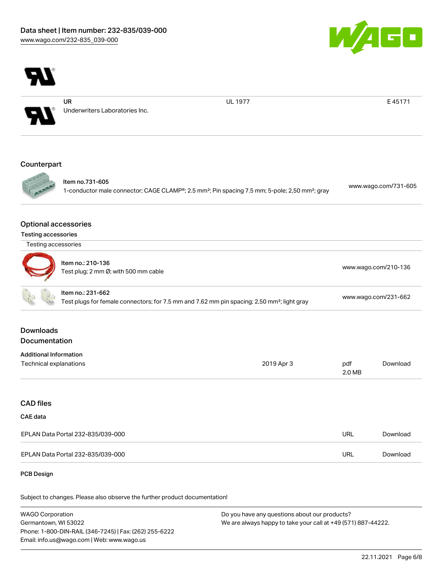



Underwriters Laboratories Inc.

UL 1977 **E 45171** 

#### **Counterpart**



Item no.731-605 1-conductor male connector; CAGE CLAMP®; 2.5 mm²; Pin spacing 7.5 mm; 5-pole; 2,50 mm²; gray [www.wago.com/731-605](https://www.wago.com/731-605)

#### Optional accessories

| <b>Testing accessories</b> |  |
|----------------------------|--|
|                            |  |

| ltem no.: 210-136<br>Test plug; 2 mm Ø; with 500 mm cable | www.wago.com/210-136                  |
|-----------------------------------------------------------|---------------------------------------|
| ltem no.: 231-662                                         | $M$ W $M$ W $A$ C $M$ C $M$ $A$ C $M$ |

| www.wago.com/231-662                                                                                    |
|---------------------------------------------------------------------------------------------------------|
| Test plugs for female connectors; for 7.5 mm and 7.62 mm pin spacing; 2,50 mm <sup>2</sup> ; light gray |

## Downloads Documentation

| <b>Additional Information</b> |            |        |          |
|-------------------------------|------------|--------|----------|
| Technical explanations        | 2019 Apr 3 | pdf    | Download |
|                               |            | 2.0 MB |          |

#### CAD files

## CAE data

| EPLAN Data Portal 232-835/039-000 | URL | Download |
|-----------------------------------|-----|----------|
| EPLAN Data Portal 232-835/039-000 | URL | Download |

#### PCB Design

Subject to changes. Please also observe the further product documentation!

WAGO Corporation Germantown, WI 53022 Phone: 1-800-DIN-RAIL (346-7245) | Fax: (262) 255-6222 Email: info.us@wago.com | Web: www.wago.us Do you have any questions about our products? We are always happy to take your call at +49 (571) 887-44222.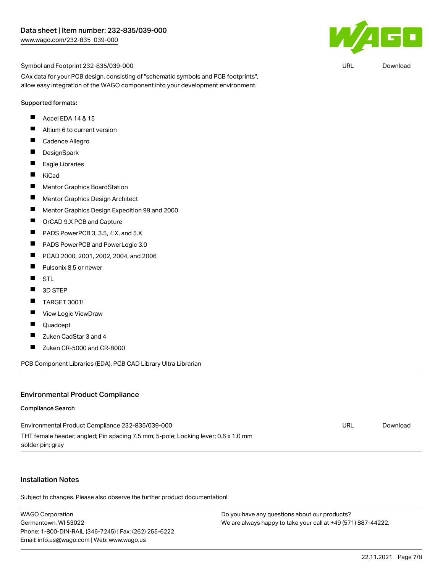

Symbol and Footprint 232-835/039-000

CAx data for your PCB design, consisting of "schematic symbols and PCB footprints", allow easy integration of the WAGO component into your development environment.

#### Supported formats:

- П Accel EDA 14 & 15
- $\blacksquare$ Altium 6 to current version
- $\blacksquare$ Cadence Allegro
- $\blacksquare$ **DesignSpark**
- $\blacksquare$ Eagle Libraries
- $\blacksquare$ KiCad
- $\blacksquare$ Mentor Graphics BoardStation
- $\blacksquare$ Mentor Graphics Design Architect
- $\blacksquare$ Mentor Graphics Design Expedition 99 and 2000
- $\blacksquare$ OrCAD 9.X PCB and Capture
- П PADS PowerPCB 3, 3.5, 4.X, and 5.X
- $\blacksquare$ PADS PowerPCB and PowerLogic 3.0
- $\blacksquare$ PCAD 2000, 2001, 2002, 2004, and 2006
- $\blacksquare$ Pulsonix 8.5 or newer
- $\blacksquare$ STL
- $\blacksquare$ 3D STEP
- $\blacksquare$ TARGET 3001!
- $\blacksquare$ View Logic ViewDraw
- П Quadcept
- $\blacksquare$ Zuken CadStar 3 and 4
- $\blacksquare$ Zuken CR-5000 and CR-8000

PCB Component Libraries (EDA), PCB CAD Library Ultra Librarian

#### Environmental Product Compliance

#### Compliance Search

| Environmental Product Compliance 232-835/039-000                                   | URL | Download |
|------------------------------------------------------------------------------------|-----|----------|
| THT female header; angled; Pin spacing 7.5 mm; 5-pole; Locking lever; 0.6 x 1.0 mm |     |          |
| solder pin; gray                                                                   |     |          |

#### Installation Notes

Subject to changes. Please also observe the further product documentation!

WAGO Corporation Germantown, WI 53022 Phone: 1-800-DIN-RAIL (346-7245) | Fax: (262) 255-6222 Email: info.us@wago.com | Web: www.wago.us